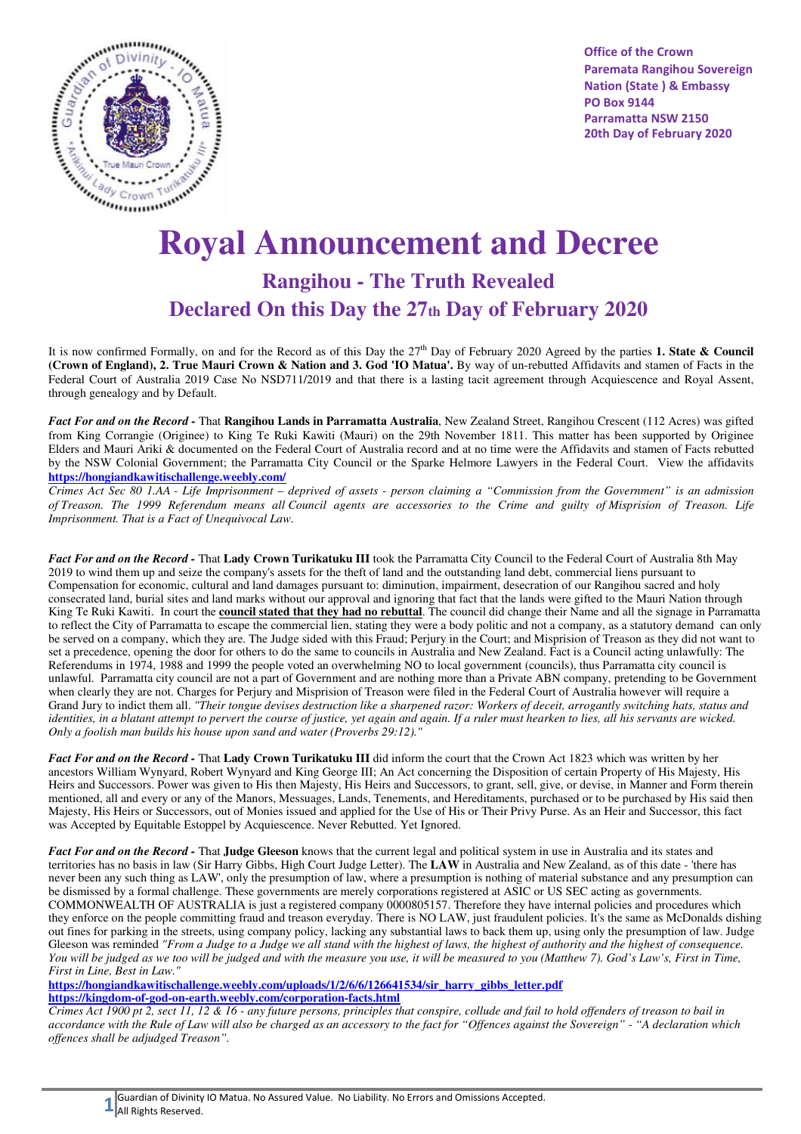

**Office of the Crown Paremata Rangihou Sovereign Nation (State ) & Embassy PO Box 9144 Parramatta NSW 2150 20th Day of February 2020** 

## **Royal Announcement and Decree**

## **Rangihou - The Truth Revealed Declared On this Day the 27th Day of February 2020**

It is now confirmed Formally, on and for the Record as of this Day the 27<sup>th</sup> Day of February 2020 Agreed by the parties 1. State & Council **(Crown of England), 2. True Mauri Crown & Nation and 3. God 'IO Matua'.** By way of un-rebutted Affidavits and stamen of Facts in the Federal Court of Australia 2019 Case No NSD711/2019 and that there is a lasting tacit agreement through Acquiescence and Royal Assent, through genealogy and by Default.

*Fact For and on the Record -* That **Rangihou Lands in Parramatta Australia**, New Zealand Street, Rangihou Crescent (112 Acres) was gifted from King Corrangie (Originee) to King Te Ruki Kawiti (Mauri) on the 29th November 1811. This matter has been supported by Originee Elders and Mauri Ariki & documented on the Federal Court of Australia record and at no time were the Affidavits and stamen of Facts rebutted by the NSW Colonial Government; the Parramatta City Council or the Sparke Helmore Lawyers in the Federal Court. View the affidavits **https://hongiandkawitischallenge.weebly.com/**

*Crimes Act Sec 80 1.AA - Life Imprisonment – deprived of assets - person claiming a "Commission from the Government" is an admission of Treason. The 1999 Referendum means all Council agents are accessories to the Crime and guilty of Misprision of Treason. Life Imprisonment. That is a Fact of Unequivocal Law.*

*Fact For and on the Record -* That **Lady Crown Turikatuku III** took the Parramatta City Council to the Federal Court of Australia 8th May 2019 to wind them up and seize the company's assets for the theft of land and the outstanding land debt, commercial liens pursuant to Compensation for economic, cultural and land damages pursuant to: diminution, impairment, desecration of our Rangihou sacred and holy consecrated land, burial sites and land marks without our approval and ignoring that fact that the lands were gifted to the Mauri Nation through King Te Ruki Kawiti. In court the **council stated that they had no rebuttal**. The council did change their Name and all the signage in Parramatta to reflect the City of Parramatta to escape the commercial lien, stating they were a body politic and not a company, as a statutory demand can only be served on a company, which they are. The Judge sided with this Fraud; Perjury in the Court; and Misprision of Treason as they did not want to set a precedence, opening the door for others to do the same to councils in Australia and New Zealand. Fact is a Council acting unlawfully: The Referendums in 1974, 1988 and 1999 the people voted an overwhelming NO to local government (councils), thus Parramatta city council is unlawful. Parramatta city council are not a part of Government and are nothing more than a Private ABN company, pretending to be Government when clearly they are not. Charges for Perjury and Misprision of Treason were filed in the Federal Court of Australia however will require a Grand Jury to indict them all. *"Their tongue devises destruction like a sharpened razor: Workers of deceit, arrogantly switching hats, status and identities, in a blatant attempt to pervert the course of justice, yet again and again. If a ruler must hearken to lies, all his servants are wicked. Only a foolish man builds his house upon sand and water (Proverbs 29:12)."*

*Fact For and on the Record -* That **Lady Crown Turikatuku III** did inform the court that the Crown Act 1823 which was written by her ancestors William Wynyard, Robert Wynyard and King George III; An Act concerning the Disposition of certain Property of His Majesty, His Heirs and Successors. Power was given to His then Majesty, His Heirs and Successors, to grant, sell, give, or devise, in Manner and Form therein mentioned, all and every or any of the Manors, Messuages, Lands, Tenements, and Hereditaments, purchased or to be purchased by His said then Majesty, His Heirs or Successors, out of Monies issued and applied for the Use of His or Their Privy Purse. As an Heir and Successor, this fact was Accepted by Equitable Estoppel by Acquiescence. Never Rebutted. Yet Ignored.

*Fact For and on the Record -* That **Judge Gleeson** knows that the current legal and political system in use in Australia and its states and territories has no basis in law (Sir Harry Gibbs, High Court Judge Letter). The **LAW** in Australia and New Zealand, as of this date - 'there has never been any such thing as LAW', only the presumption of law, where a presumption is nothing of material substance and any presumption can be dismissed by a formal challenge. These governments are merely corporations registered at ASIC or US SEC acting as governments. COMMONWEALTH OF AUSTRALIA is just a registered company 0000805157. Therefore they have internal policies and procedures which they enforce on the people committing fraud and treason everyday. There is NO LAW, just fraudulent policies. It's the same as McDonalds dishing out fines for parking in the streets, using company policy, lacking any substantial laws to back them up, using only the presumption of law. Judge Gleeson was reminded *"From a Judge to a Judge we all stand with the highest of laws, the highest of authority and the highest of consequence. You will be judged as we too will be judged and with the measure you use, it will be measured to you (Matthew 7). God's Law's, First in Time, First in Line, Best in Law."*

**https://hongiandkawitischallenge.weebly.com/uploads/1/2/6/6/126641534/sir\_harry\_gibbs\_letter.pdf https://kingdom-of-god-on-earth.weebly.com/corporation-facts.html**

*Crimes Act 1900 pt 2, sect 11, 12 & 16 - any future persons, principles that conspire, collude and fail to hold offenders of treason to bail in accordance with the Rule of Law will also be charged as an accessory to the fact for "Offences against the Sovereign" - "A declaration which offences shall be adjudged Treason".*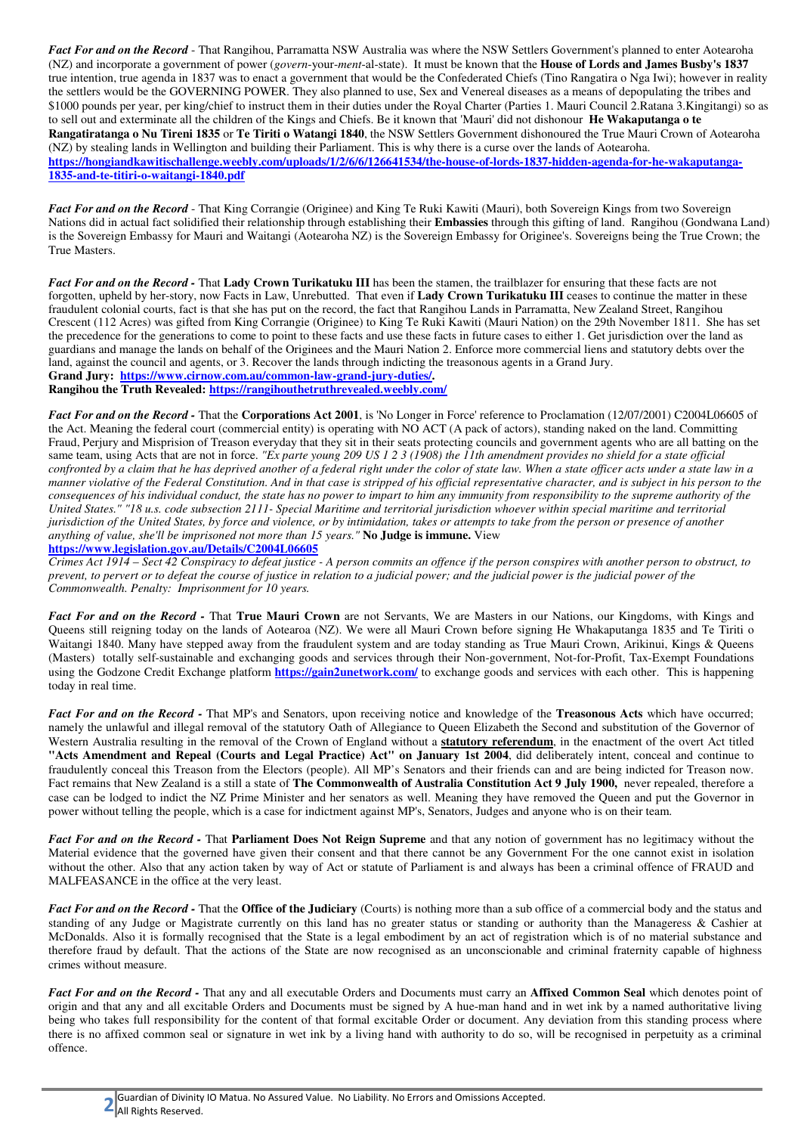*Fact For and on the Record* - That Rangihou, Parramatta NSW Australia was where the NSW Settlers Government's planned to enter Aotearoha (NZ) and incorporate a government of power (*govern*-your-*ment*-al-state). It must be known that the **House of Lords and James Busby's 1837**  true intention, true agenda in 1837 was to enact a government that would be the Confederated Chiefs (Tino Rangatira o Nga Iwi); however in reality the settlers would be the GOVERNING POWER. They also planned to use, Sex and Venereal diseases as a means of depopulating the tribes and \$1000 pounds per year, per king/chief to instruct them in their duties under the Royal Charter (Parties 1. Mauri Council 2.Ratana 3.Kingitangi) so as to sell out and exterminate all the children of the Kings and Chiefs. Be it known that 'Mauri' did not dishonour **He Wakaputanga o te Rangatiratanga o Nu Tireni 1835** or **Te Tiriti o Watangi 1840**, the NSW Settlers Government dishonoured the True Mauri Crown of Aotearoha (NZ) by stealing lands in Wellington and building their Parliament. This is why there is a curse over the lands of Aotearoha. **https://hongiandkawitischallenge.weebly.com/uploads/1/2/6/6/126641534/the-house-of-lords-1837-hidden-agenda-for-he-wakaputanga-1835-and-te-titiri-o-waitangi-1840.pdf**

*Fact For and on the Record* - That King Corrangie (Originee) and King Te Ruki Kawiti (Mauri), both Sovereign Kings from two Sovereign Nations did in actual fact solidified their relationship through establishing their **Embassies** through this gifting of land. Rangihou (Gondwana Land) is the Sovereign Embassy for Mauri and Waitangi (Aotearoha NZ) is the Sovereign Embassy for Originee's. Sovereigns being the True Crown; the True Masters.

*Fact For and on the Record -* That **Lady Crown Turikatuku III** has been the stamen, the trailblazer for ensuring that these facts are not forgotten, upheld by her-story, now Facts in Law, Unrebutted. That even if **Lady Crown Turikatuku III** ceases to continue the matter in these fraudulent colonial courts, fact is that she has put on the record, the fact that Rangihou Lands in Parramatta, New Zealand Street, Rangihou Crescent (112 Acres) was gifted from King Corrangie (Originee) to King Te Ruki Kawiti (Mauri Nation) on the 29th November 1811. She has set the precedence for the generations to come to point to these facts and use these facts in future cases to either 1. Get jurisdiction over the land as guardians and manage the lands on behalf of the Originees and the Mauri Nation 2. Enforce more commercial liens and statutory debts over the land, against the council and agents, or 3. Recover the lands through indicting the treasonous agents in a Grand Jury. **Grand Jury: https://www.cirnow.com.au/common-law-grand-jury-duties/.** 

**Rangihou the Truth Revealed: https://rangihouthetruthrevealed.weebly.com/**

*Fact For and on the Record -* That the **Corporations Act 2001**, is 'No Longer in Force' reference to Proclamation (12/07/2001) C2004L06605 of the Act. Meaning the federal court (commercial entity) is operating with NO ACT (A pack of actors), standing naked on the land. Committing Fraud, Perjury and Misprision of Treason everyday that they sit in their seats protecting councils and government agents who are all batting on the same team, using Acts that are not in force. *"Ex parte young 209 US 1 2 3 (1908) the 11th amendment provides no shield for a state official confronted by a claim that he has deprived another of a federal right under the color of state law. When a state officer acts under a state law in a manner violative of the Federal Constitution. And in that case is stripped of his official representative character, and is subject in his person to the consequences of his individual conduct, the state has no power to impart to him any immunity from responsibility to the supreme authority of the United States." "18 u.s. code subsection 2111- Special Maritime and territorial jurisdiction whoever within special maritime and territorial jurisdiction of the United States, by force and violence, or by intimidation, takes or attempts to take from the person or presence of another anything of value, she'll be imprisoned not more than 15 years."* **No Judge is immune.** View

**https://www.legislation.gov.au/Details/C2004L06605**

*Crimes Act 1914 – Sect 42 Conspiracy to defeat justice - A person commits an offence if the person conspires with another person to obstruct, to prevent, to pervert or to defeat the course of justice in relation to a judicial power; and the judicial power is the judicial power of the Commonwealth. Penalty: Imprisonment for 10 years.*

*Fact For and on the Record -* That **True Mauri Crown** are not Servants, We are Masters in our Nations, our Kingdoms, with Kings and Queens still reigning today on the lands of Aotearoa (NZ). We were all Mauri Crown before signing He Whakaputanga 1835 and Te Tiriti o Waitangi 1840. Many have stepped away from the fraudulent system and are today standing as True Mauri Crown, Arikinui, Kings & Queens (Masters) totally self-sustainable and exchanging goods and services through their Non-government, Not-for-Profit, Tax-Exempt Foundations using the Godzone Credit Exchange platform **https://gain2unetwork.com/** to exchange goods and services with each other. This is happening today in real time.

*Fact For and on the Record -* That MP's and Senators, upon receiving notice and knowledge of the **Treasonous Acts** which have occurred; namely the unlawful and illegal removal of the statutory Oath of Allegiance to Queen Elizabeth the Second and substitution of the Governor of Western Australia resulting in the removal of the Crown of England without a **statutory referendum**, in the enactment of the overt Act titled **"Acts Amendment and Repeal (Courts and Legal Practice) Act" on January 1st 2004**, did deliberately intent, conceal and continue to fraudulently conceal this Treason from the Electors (people). All MP's Senators and their friends can and are being indicted for Treason now. Fact remains that New Zealand is a still a state of **The Commonwealth of Australia Constitution Act 9 July 1900,** never repealed, therefore a case can be lodged to indict the NZ Prime Minister and her senators as well. Meaning they have removed the Queen and put the Governor in power without telling the people, which is a case for indictment against MP's, Senators, Judges and anyone who is on their team.

*Fact For and on the Record -* That **Parliament Does Not Reign Supreme** and that any notion of government has no legitimacy without the Material evidence that the governed have given their consent and that there cannot be any Government For the one cannot exist in isolation without the other. Also that any action taken by way of Act or statute of Parliament is and always has been a criminal offence of FRAUD and MALFEASANCE in the office at the very least.

*Fact For and on the Record -* That the **Office of the Judiciary** (Courts) is nothing more than a sub office of a commercial body and the status and standing of any Judge or Magistrate currently on this land has no greater status or standing or authority than the Manageress & Cashier at McDonalds. Also it is formally recognised that the State is a legal embodiment by an act of registration which is of no material substance and therefore fraud by default. That the actions of the State are now recognised as an unconscionable and criminal fraternity capable of highness crimes without measure.

*Fact For and on the Record -* That any and all executable Orders and Documents must carry an **Affixed Common Seal** which denotes point of origin and that any and all excitable Orders and Documents must be signed by A hue-man hand and in wet ink by a named authoritative living being who takes full responsibility for the content of that formal excitable Order or document. Any deviation from this standing process where there is no affixed common seal or signature in wet ink by a living hand with authority to do so, will be recognised in perpetuity as a criminal offence.